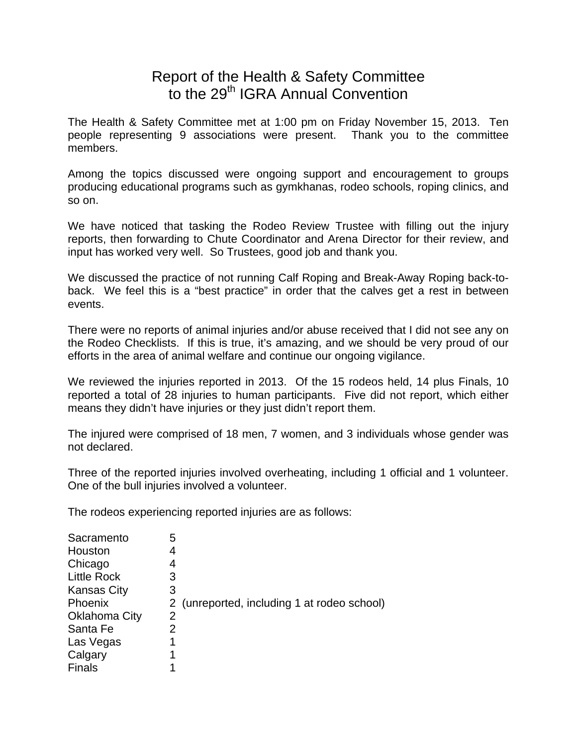## Report of the Health & Safety Committee to the 29<sup>th</sup> IGRA Annual Convention

The Health & Safety Committee met at 1:00 pm on Friday November 15, 2013. Ten people representing 9 associations were present. Thank you to the committee members.

Among the topics discussed were ongoing support and encouragement to groups producing educational programs such as gymkhanas, rodeo schools, roping clinics, and so on.

We have noticed that tasking the Rodeo Review Trustee with filling out the injury reports, then forwarding to Chute Coordinator and Arena Director for their review, and input has worked very well. So Trustees, good job and thank you.

We discussed the practice of not running Calf Roping and Break-Away Roping back-toback. We feel this is a "best practice" in order that the calves get a rest in between events.

There were no reports of animal injuries and/or abuse received that I did not see any on the Rodeo Checklists. If this is true, it's amazing, and we should be very proud of our efforts in the area of animal welfare and continue our ongoing vigilance.

We reviewed the injuries reported in 2013. Of the 15 rodeos held, 14 plus Finals, 10 reported a total of 28 injuries to human participants. Five did not report, which either means they didn't have injuries or they just didn't report them.

The injured were comprised of 18 men, 7 women, and 3 individuals whose gender was not declared.

Three of the reported injuries involved overheating, including 1 official and 1 volunteer. One of the bull injuries involved a volunteer.

The rodeos experiencing reported injuries are as follows:

| Sacramento         | 5              |                                             |
|--------------------|----------------|---------------------------------------------|
| Houston            | 4              |                                             |
| Chicago            | 4              |                                             |
| <b>Little Rock</b> | 3              |                                             |
| <b>Kansas City</b> | 3              |                                             |
| Phoenix            |                | 2 (unreported, including 1 at rodeo school) |
| Oklahoma City      | $\overline{2}$ |                                             |
| Santa Fe           | 2              |                                             |
| Las Vegas          | 1              |                                             |
| Calgary            | 1              |                                             |
| <b>Finals</b>      | 1              |                                             |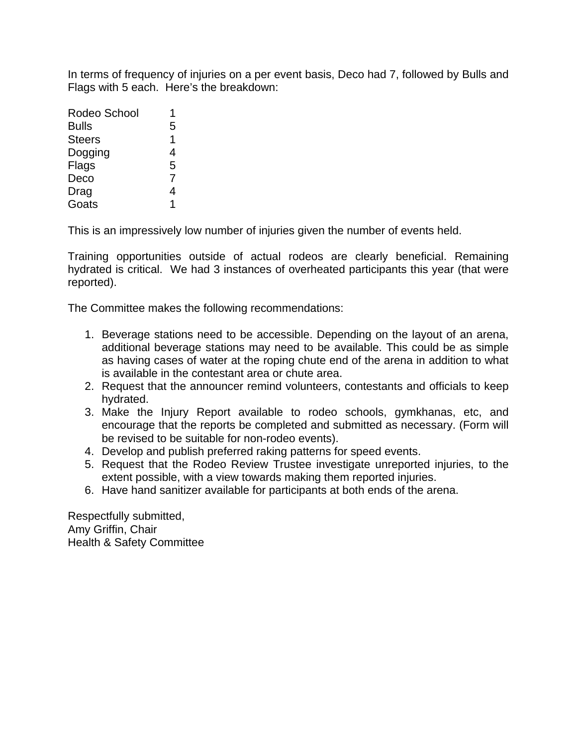In terms of frequency of injuries on a per event basis, Deco had 7, followed by Bulls and Flags with 5 each. Here's the breakdown:

| Rodeo School  |   |
|---------------|---|
| <b>Bulls</b>  | 5 |
| <b>Steers</b> | 1 |
| Dogging       | 4 |
| Flags         | 5 |
| Deco          | 7 |
| Drag          | 4 |
| Goats         | 1 |

This is an impressively low number of injuries given the number of events held.

Training opportunities outside of actual rodeos are clearly beneficial. Remaining hydrated is critical. We had 3 instances of overheated participants this year (that were reported).

The Committee makes the following recommendations:

- 1. Beverage stations need to be accessible. Depending on the layout of an arena, additional beverage stations may need to be available. This could be as simple as having cases of water at the roping chute end of the arena in addition to what is available in the contestant area or chute area.
- 2. Request that the announcer remind volunteers, contestants and officials to keep hydrated.
- 3. Make the Injury Report available to rodeo schools, gymkhanas, etc, and encourage that the reports be completed and submitted as necessary. (Form will be revised to be suitable for non-rodeo events).
- 4. Develop and publish preferred raking patterns for speed events.
- 5. Request that the Rodeo Review Trustee investigate unreported injuries, to the extent possible, with a view towards making them reported injuries.
- 6. Have hand sanitizer available for participants at both ends of the arena.

Respectfully submitted, Amy Griffin, Chair Health & Safety Committee